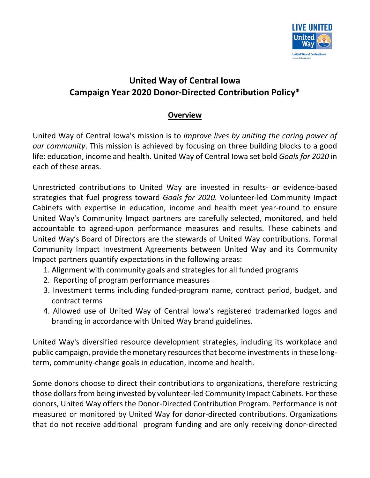

# **United Way of Central Iowa Campaign Year 2020 Donor-Directed Contribution Policy\***

# **Overview**

United Way of Central Iowa's mission is to *improve lives by uniting the caring power of our community*. This mission is achieved by focusing on three building blocks to a good life[: education](http://www.unitedwaydm.org/aspx/education/education.aspx)[, income](http://www.unitedwaydm.org/aspx/income/income.aspx) an[d health.](http://www.unitedwaydm.org/aspx/health/health.aspx) United Way of Central Iowa set bold *Goals for 2020* in each of these areas.

Unrestricted contributions to United Way are invested in results- or evidence-based strategies that fuel progress toward *Goals for 2020*. Volunteer-led Community Impact Cabinets with expertise in education, income and health meet year-round to ensure [United Way's Community Impact](http://www.unitedwaydm.org/aspx/ourwork/partners.aspx) partners are carefully selected, monitored, and held accountable to agreed-upon performance measures and results. These cabinets and United Way's Board of Directors are the stewards of United Way contributions. Formal Community Impact Investment Agreements between United Way and its Community Impact partners quantify expectations in the following areas:

- 1. Alignment with community goals and strategies for all funded programs
- 2. Reporting of program performance measures
- 3. Investment terms including funded-program name, contract period, budget, and contract terms
- 4. Allowed use of United Way of Central Iowa's registered trademarked logos and branding in accordance with United Way brand guidelines.

United Way's diversified resource development strategies, including its workplace and public campaign, provide the monetary resources that become investments in these longterm, community-change goals in education, income and health.

Some donors choose to direct their contributions to organizations, therefore restricting those dollars from being invested by volunteer-led Community Impact Cabinets. For these donors, United Way offers the Donor-Directed Contribution Program. Performance is not measured or monitored by United Way for donor-directed contributions. Organizations that do not receive additional program funding and are only receiving donor-directed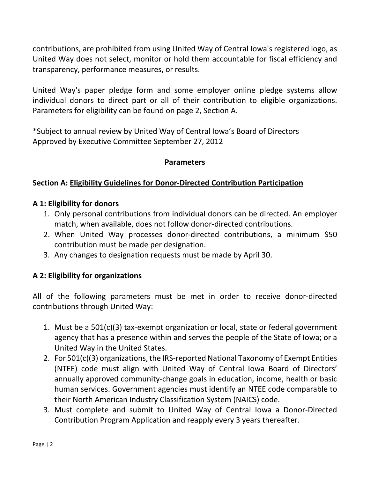contributions, are prohibited from using United Way of Central Iowa's registered logo, as United Way does not select, monitor or hold them accountable for fiscal efficiency and transparency, performance measures, or results.

United Way's paper pledge form and some employer online pledge systems allow individual donors to direct part or all of their contribution to eligible organizations. Parameters for eligibility can be found on page 2, Section A.

\*Subject to annual review by United Way of Central Iowa's Board of Directors Approved by Executive Committee September 27, 2012

# **Parameters**

# **Section A: Eligibility Guidelines for Donor-Directed Contribution Participation**

# **A 1: Eligibility for donors**

- 1. Only personal contributions from individual donors can be directed. An employer match, when available, does not follow donor-directed contributions.
- 2. When United Way processes donor-directed contributions, a minimum \$50 contribution must be made per designation.
- 3. Any changes to designation requests must be made by April 30.

# **A 2: Eligibility for organizations**

All of the following parameters must be met in order to receive donor-directed contributions through United Way:

- 1. Must be a 501(c)(3) tax-exempt organization or local, state or federal government agency that has a presence within and serves the people of the State of Iowa; or a United Way in the United States.
- 2. For 501(c)(3) organizations, the IRS-reported National Taxonomy of Exempt Entities (NTEE) code must align with United Way of Central Iowa Board of Directors' annually approved community-change goals in education, income, health or basic human services. Government agencies must identify an NTEE code comparable to their North American Industry Classification System (NAICS) code.
- 3. Must complete and submit to United Way of Central Iowa a Donor-Directed Contribution Program Application and reapply every 3 years thereafter.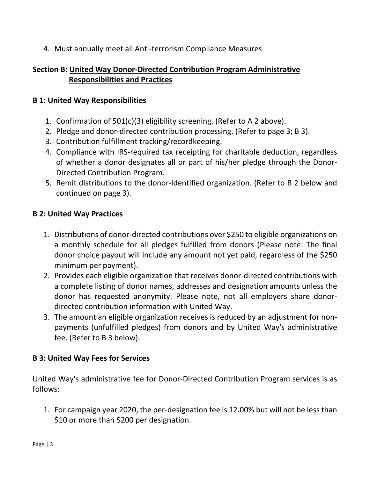4. Must annually meet all Anti-terrorism Compliance Measures

# **Section B: United Way Donor-Directed Contribution Program Administrative Responsibilities and Practices**

#### **B 1: United Way Responsibilities**

- 1. Confirmation of 501(c)(3) eligibility screening. (Refer to A 2 above).
- 2. Pledge and donor-directed contribution processing. (Refer to page 3; B 3).
- 3. Contribution fulfillment tracking/recordkeeping.
- 4. Compliance with IRS-required tax receipting for charitable deduction, regardless of whether a donor designates all or part of his/her pledge through the Donor-Directed Contribution Program.
- 5. Remit distributions to the donor-identified organization. (Refer to B 2 below and continued on page 3).

#### **B 2: United Way Practices**

- 1. Distributions of donor-directed contributions over \$250 to eligible organizations on a monthly schedule for all pledges fulfilled from donors (Please note: The final donor choice payout will include any amount not yet paid, regardless of the \$250 minimum per payment).
- 2. Provides each eligible organization that receives donor-directed contributions with a complete listing of donor names, addresses and designation amounts unless the donor has requested anonymity. Please note, not all employers share donordirected contribution information with United Way.
- 3. The amount an eligible organization receives is reduced by an adjustment for nonpayments (unfulfilled pledges) from donors and by United Way's administrative fee. (Refer to B 3 below).

# **B 3: United Way Fees for Services**

United Way's administrative fee for Donor-Directed Contribution Program services is as follows:

1. For campaign year 2020, the per-designation fee is 12.00% but will not be less than \$10 or more than \$200 per designation.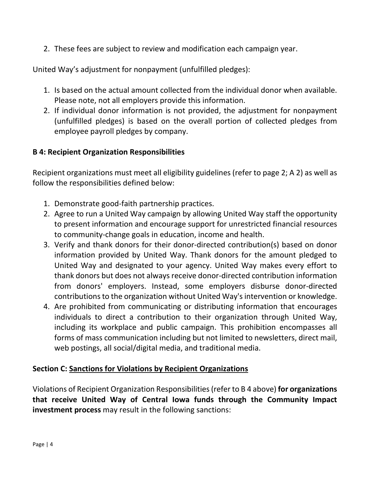2. These fees are subject to review and modification each campaign year.

United Way's adjustment for nonpayment (unfulfilled pledges):

- 1. Is based on the actual amount collected from the individual donor when available. Please note, not all employers provide this information.
- 2. If individual donor information is not provided, the adjustment for nonpayment (unfulfilled pledges) is based on the overall portion of collected pledges from employee payroll pledges by company.

# **B 4: Recipient Organization Responsibilities**

Recipient organizations must meet all eligibility guidelines (refer to page 2; A 2) as well as follow the responsibilities defined below:

- 1. Demonstrate good-faith partnership practices.
- 2. Agree to run a United Way campaign by allowing United Way staff the opportunity to present information and encourage support for unrestricted financial resources to community-change goals in education, income and health.
- 3. Verify and thank donors for their donor-directed contribution(s) based on donor information provided by United Way. Thank donors for the amount pledged to United Way and designated to your agency. United Way makes every effort to thank donors but does not always receive donor-directed contribution information from donors' employers. Instead, some employers disburse donor-directed contributions to the organization without United Way's intervention or knowledge.
- 4. Are prohibited from communicating or distributing information that encourages individuals to direct a contribution to their organization through United Way, including its workplace and public campaign. This prohibition encompasses all forms of mass communication including but not limited to newsletters, direct mail, web postings, all social/digital media, and traditional media.

# **Section C: Sanctions for Violations by Recipient Organizations**

Violations of Recipient Organization Responsibilities(refer to B 4 above) **for organizations that receive United Way of Central Iowa funds through the Community Impact investment process** may result in the following sanctions: